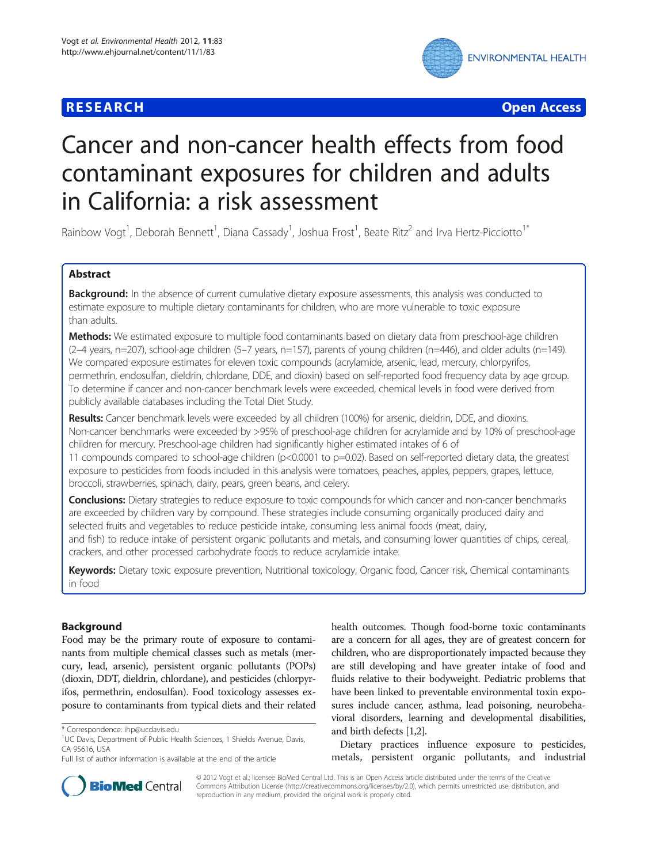

**RESEARCH CHE Open Access** 

# Cancer and non-cancer health effects from food contaminant exposures for children and adults in California: a risk assessment

Rainbow Vogt<sup>1</sup>, Deborah Bennett<sup>1</sup>, Diana Cassady<sup>1</sup>, Joshua Frost<sup>1</sup>, Beate Ritz<sup>2</sup> and Irva Hertz-Picciotto<sup>1\*</sup>

# Abstract

Background: In the absence of current cumulative dietary exposure assessments, this analysis was conducted to estimate exposure to multiple dietary contaminants for children, who are more vulnerable to toxic exposure than adults.

Methods: We estimated exposure to multiple food contaminants based on dietary data from preschool-age children (2–4 years, n=207), school-age children (5–7 years, n=157), parents of young children (n=446), and older adults (n=149). We compared exposure estimates for eleven toxic compounds (acrylamide, arsenic, lead, mercury, chlorpyrifos, permethrin, endosulfan, dieldrin, chlordane, DDE, and dioxin) based on self-reported food frequency data by age group. To determine if cancer and non-cancer benchmark levels were exceeded, chemical levels in food were derived from publicly available databases including the Total Diet Study.

Results: Cancer benchmark levels were exceeded by all children (100%) for arsenic, dieldrin, DDE, and dioxins. Non-cancer benchmarks were exceeded by >95% of preschool-age children for acrylamide and by 10% of preschool-age children for mercury. Preschool-age children had significantly higher estimated intakes of 6 of

11 compounds compared to school-age children (p<0.0001 to p=0.02). Based on self-reported dietary data, the greatest exposure to pesticides from foods included in this analysis were tomatoes, peaches, apples, peppers, grapes, lettuce, broccoli, strawberries, spinach, dairy, pears, green beans, and celery.

**Conclusions:** Dietary strategies to reduce exposure to toxic compounds for which cancer and non-cancer benchmarks are exceeded by children vary by compound. These strategies include consuming organically produced dairy and selected fruits and vegetables to reduce pesticide intake, consuming less animal foods (meat, dairy, and fish) to reduce intake of persistent organic pollutants and metals, and consuming lower quantities of chips, cereal, crackers, and other processed carbohydrate foods to reduce acrylamide intake.

Keywords: Dietary toxic exposure prevention, Nutritional toxicology, Organic food, Cancer risk, Chemical contaminants in food

# Background

Food may be the primary route of exposure to contaminants from multiple chemical classes such as metals (mercury, lead, arsenic), persistent organic pollutants (POPs) (dioxin, DDT, dieldrin, chlordane), and pesticides (chlorpyrifos, permethrin, endosulfan). Food toxicology assesses exposure to contaminants from typical diets and their related

health outcomes. Though food-borne toxic contaminants are a concern for all ages, they are of greatest concern for children, who are disproportionately impacted because they are still developing and have greater intake of food and fluids relative to their bodyweight. Pediatric problems that have been linked to preventable environmental toxin exposures include cancer, asthma, lead poisoning, neurobehavioral disorders, learning and developmental disabilities, and birth defects [\[1,2](#page-12-0)].

Dietary practices influence exposure to pesticides, metals, persistent organic pollutants, and industrial



© 2012 Vogt et al.; licensee BioMed Central Ltd. This is an Open Access article distributed under the terms of the Creative Commons Attribution License [\(http://creativecommons.org/licenses/by/2.0\)](http://creativecommons.org/licenses/by/2.0), which permits unrestricted use, distribution, and reproduction in any medium, provided the original work is properly cited.

<sup>\*</sup> Correspondence: [ihp@ucdavis.edu](mailto:ihp@ucdavis.edu) <sup>1</sup>

<sup>&</sup>lt;sup>1</sup>UC Davis, Department of Public Health Sciences, 1 Shields Avenue, Davis, CA 95616, USA

Full list of author information is available at the end of the article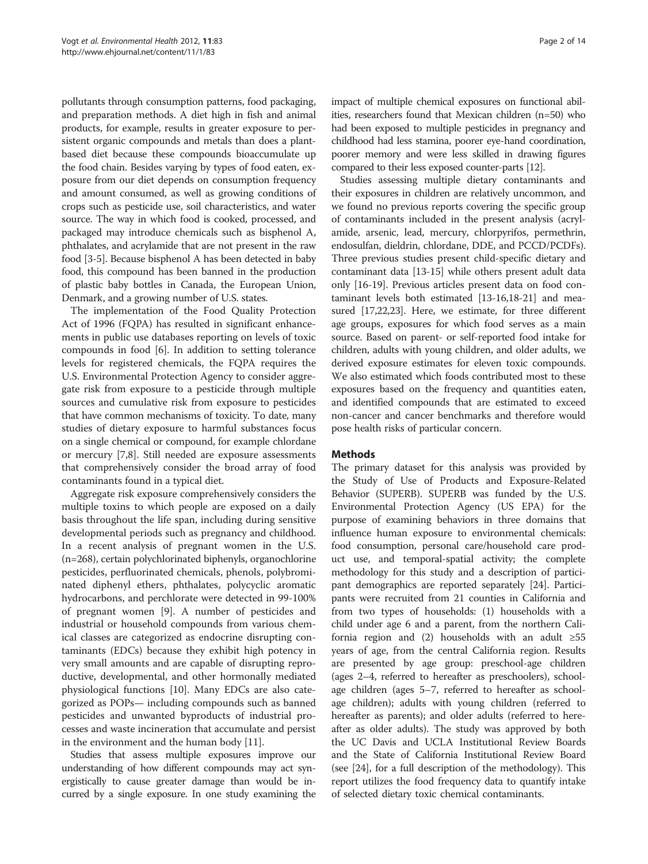pollutants through consumption patterns, food packaging, and preparation methods. A diet high in fish and animal products, for example, results in greater exposure to persistent organic compounds and metals than does a plantbased diet because these compounds bioaccumulate up the food chain. Besides varying by types of food eaten, exposure from our diet depends on consumption frequency and amount consumed, as well as growing conditions of crops such as pesticide use, soil characteristics, and water source. The way in which food is cooked, processed, and packaged may introduce chemicals such as bisphenol A, phthalates, and acrylamide that are not present in the raw food [\[3](#page-12-0)-[5\]](#page-12-0). Because bisphenol A has been detected in baby food, this compound has been banned in the production of plastic baby bottles in Canada, the European Union, Denmark, and a growing number of U.S. states.

The implementation of the Food Quality Protection Act of 1996 (FQPA) has resulted in significant enhancements in public use databases reporting on levels of toxic compounds in food [[6](#page-12-0)]. In addition to setting tolerance levels for registered chemicals, the FQPA requires the U.S. Environmental Protection Agency to consider aggregate risk from exposure to a pesticide through multiple sources and cumulative risk from exposure to pesticides that have common mechanisms of toxicity. To date, many studies of dietary exposure to harmful substances focus on a single chemical or compound, for example chlordane or mercury [[7](#page-12-0),[8\]](#page-12-0). Still needed are exposure assessments that comprehensively consider the broad array of food contaminants found in a typical diet.

Aggregate risk exposure comprehensively considers the multiple toxins to which people are exposed on a daily basis throughout the life span, including during sensitive developmental periods such as pregnancy and childhood. In a recent analysis of pregnant women in the U.S. (n=268), certain polychlorinated biphenyls, organochlorine pesticides, perfluorinated chemicals, phenols, polybrominated diphenyl ethers, phthalates, polycyclic aromatic hydrocarbons, and perchlorate were detected in 99-100% of pregnant women [[9\]](#page-12-0). A number of pesticides and industrial or household compounds from various chemical classes are categorized as endocrine disrupting contaminants (EDCs) because they exhibit high potency in very small amounts and are capable of disrupting reproductive, developmental, and other hormonally mediated physiological functions [\[10\]](#page-12-0). Many EDCs are also categorized as POPs— including compounds such as banned pesticides and unwanted byproducts of industrial processes and waste incineration that accumulate and persist in the environment and the human body [[11\]](#page-12-0).

Studies that assess multiple exposures improve our understanding of how different compounds may act synergistically to cause greater damage than would be incurred by a single exposure. In one study examining the

impact of multiple chemical exposures on functional abilities, researchers found that Mexican children (n=50) who had been exposed to multiple pesticides in pregnancy and childhood had less stamina, poorer eye-hand coordination, poorer memory and were less skilled in drawing figures compared to their less exposed counter-parts [[12](#page-12-0)].

Studies assessing multiple dietary contaminants and their exposures in children are relatively uncommon, and we found no previous reports covering the specific group of contaminants included in the present analysis (acrylamide, arsenic, lead, mercury, chlorpyrifos, permethrin, endosulfan, dieldrin, chlordane, DDE, and PCCD/PCDFs). Three previous studies present child-specific dietary and contaminant data [\[13-15](#page-12-0)] while others present adult data only [[16-19](#page-12-0)]. Previous articles present data on food contaminant levels both estimated [[13](#page-12-0)-[16,18](#page-12-0)-[21](#page-12-0)] and measured [\[17,22,23\]](#page-12-0). Here, we estimate, for three different age groups, exposures for which food serves as a main source. Based on parent- or self-reported food intake for children, adults with young children, and older adults, we derived exposure estimates for eleven toxic compounds. We also estimated which foods contributed most to these exposures based on the frequency and quantities eaten, and identified compounds that are estimated to exceed non-cancer and cancer benchmarks and therefore would pose health risks of particular concern.

# Methods

The primary dataset for this analysis was provided by the Study of Use of Products and Exposure-Related Behavior (SUPERB). SUPERB was funded by the U.S. Environmental Protection Agency (US EPA) for the purpose of examining behaviors in three domains that influence human exposure to environmental chemicals: food consumption, personal care/household care product use, and temporal-spatial activity; the complete methodology for this study and a description of participant demographics are reported separately [\[24\]](#page-12-0). Participants were recruited from 21 counties in California and from two types of households: (1) households with a child under age 6 and a parent, from the northern California region and (2) households with an adult  $\geq 55$ years of age, from the central California region. Results are presented by age group: preschool-age children (ages 2–4, referred to hereafter as preschoolers), schoolage children (ages 5–7, referred to hereafter as schoolage children); adults with young children (referred to hereafter as parents); and older adults (referred to hereafter as older adults). The study was approved by both the UC Davis and UCLA Institutional Review Boards and the State of California Institutional Review Board (see [[24](#page-12-0)], for a full description of the methodology). This report utilizes the food frequency data to quantify intake of selected dietary toxic chemical contaminants.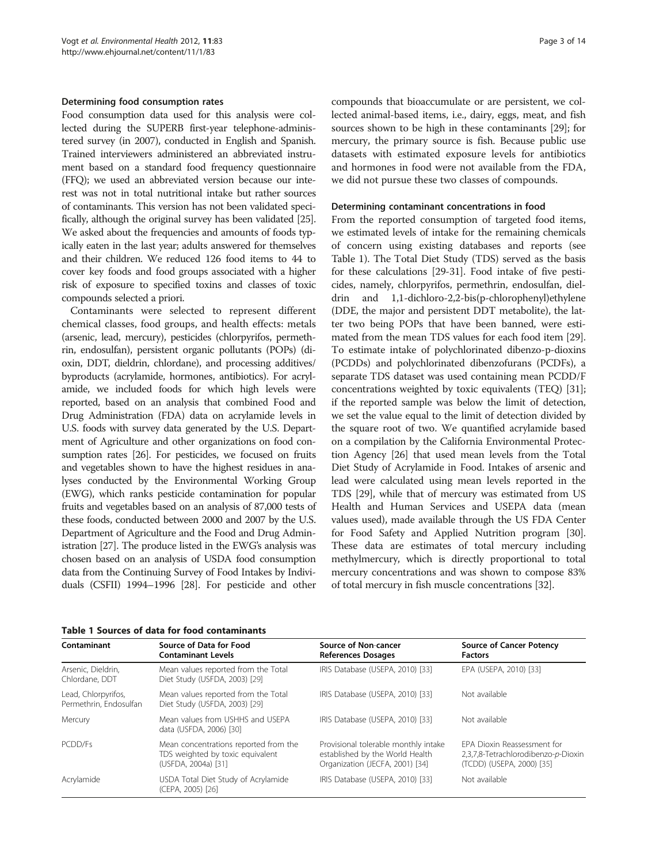#### Determining food consumption rates

Food consumption data used for this analysis were collected during the SUPERB first-year telephone-administered survey (in 2007), conducted in English and Spanish. Trained interviewers administered an abbreviated instrument based on a standard food frequency questionnaire (FFQ); we used an abbreviated version because our interest was not in total nutritional intake but rather sources of contaminants. This version has not been validated specifically, although the original survey has been validated [\[25](#page-12-0)]. We asked about the frequencies and amounts of foods typically eaten in the last year; adults answered for themselves and their children. We reduced 126 food items to 44 to cover key foods and food groups associated with a higher risk of exposure to specified toxins and classes of toxic compounds selected a priori.

Contaminants were selected to represent different chemical classes, food groups, and health effects: metals (arsenic, lead, mercury), pesticides (chlorpyrifos, permethrin, endosulfan), persistent organic pollutants (POPs) (dioxin, DDT, dieldrin, chlordane), and processing additives/ byproducts (acrylamide, hormones, antibiotics). For acrylamide, we included foods for which high levels were reported, based on an analysis that combined Food and Drug Administration (FDA) data on acrylamide levels in U.S. foods with survey data generated by the U.S. Department of Agriculture and other organizations on food consumption rates [\[26\]](#page-12-0). For pesticides, we focused on fruits and vegetables shown to have the highest residues in analyses conducted by the Environmental Working Group (EWG), which ranks pesticide contamination for popular fruits and vegetables based on an analysis of 87,000 tests of these foods, conducted between 2000 and 2007 by the U.S. Department of Agriculture and the Food and Drug Administration [[27](#page-12-0)]. The produce listed in the EWG's analysis was chosen based on an analysis of USDA food consumption data from the Continuing Survey of Food Intakes by Individuals (CSFII) 1994–1996 [\[28\]](#page-12-0). For pesticide and other

compounds that bioaccumulate or are persistent, we collected animal-based items, i.e., dairy, eggs, meat, and fish sources shown to be high in these contaminants [\[29\]](#page-12-0); for mercury, the primary source is fish. Because public use datasets with estimated exposure levels for antibiotics and hormones in food were not available from the FDA, we did not pursue these two classes of compounds.

#### Determining contaminant concentrations in food

From the reported consumption of targeted food items, we estimated levels of intake for the remaining chemicals of concern using existing databases and reports (see Table 1). The Total Diet Study (TDS) served as the basis for these calculations [\[29-31\]](#page-12-0). Food intake of five pesticides, namely, chlorpyrifos, permethrin, endosulfan, dieldrin and 1,1-dichloro-2,2-bis(p-chlorophenyl)ethylene (DDE, the major and persistent DDT metabolite), the latter two being POPs that have been banned, were estimated from the mean TDS values for each food item [[29](#page-12-0)]. To estimate intake of polychlorinated dibenzo-p-dioxins (PCDDs) and polychlorinated dibenzofurans (PCDFs), a separate TDS dataset was used containing mean PCDD/F concentrations weighted by toxic equivalents (TEQ) [[31](#page-12-0)]; if the reported sample was below the limit of detection, we set the value equal to the limit of detection divided by the square root of two. We quantified acrylamide based on a compilation by the California Environmental Protection Agency [[26](#page-12-0)] that used mean levels from the Total Diet Study of Acrylamide in Food. Intakes of arsenic and lead were calculated using mean levels reported in the TDS [\[29\]](#page-12-0), while that of mercury was estimated from US Health and Human Services and USEPA data (mean values used), made available through the US FDA Center for Food Safety and Applied Nutrition program [[30](#page-12-0)]. These data are estimates of total mercury including methylmercury, which is directly proportional to total mercury concentrations and was shown to compose 83% of total mercury in fish muscle concentrations [[32](#page-12-0)].

| Contaminant                                   | Source of Data for Food<br><b>Contaminant Levels</b>                                             | Source of Non-cancer<br><b>References Dosages</b>                                                          | <b>Source of Cancer Potency</b><br><b>Factors</b>                                               |
|-----------------------------------------------|--------------------------------------------------------------------------------------------------|------------------------------------------------------------------------------------------------------------|-------------------------------------------------------------------------------------------------|
| Arsenic, Dieldrin,<br>Chlordane, DDT          | Mean values reported from the Total<br>Diet Study (USFDA, 2003) [29]                             | IRIS Database (USEPA, 2010) [33]                                                                           | EPA (USEPA, 2010) [33]                                                                          |
| Lead, Chlorpyrifos,<br>Permethrin, Endosulfan | Mean values reported from the Total<br>Diet Study (USFDA, 2003) [29]                             | IRIS Database (USEPA, 2010) [33]                                                                           | Not available                                                                                   |
| Mercury                                       | Mean values from USHHS and USEPA<br>data (USFDA, 2006) [30]                                      | IRIS Database (USEPA, 2010) [33]                                                                           | Not available                                                                                   |
| PCDD/Es                                       | Mean concentrations reported from the<br>TDS weighted by toxic equivalent<br>(USFDA, 2004a) [31] | Provisional tolerable monthly intake<br>established by the World Health<br>Organization (JECFA, 2001) [34] | FPA Dioxin Reassessment for<br>2,3,7,8-Tetrachlorodibenzo-p-Dioxin<br>(TCDD) (USEPA, 2000) [35] |
| Acrylamide                                    | USDA Total Diet Study of Acrylamide<br>(CEPA, 2005) [26]                                         | IRIS Database (USEPA, 2010) [33]                                                                           | Not available                                                                                   |

Table 1 Sources of data for food contaminants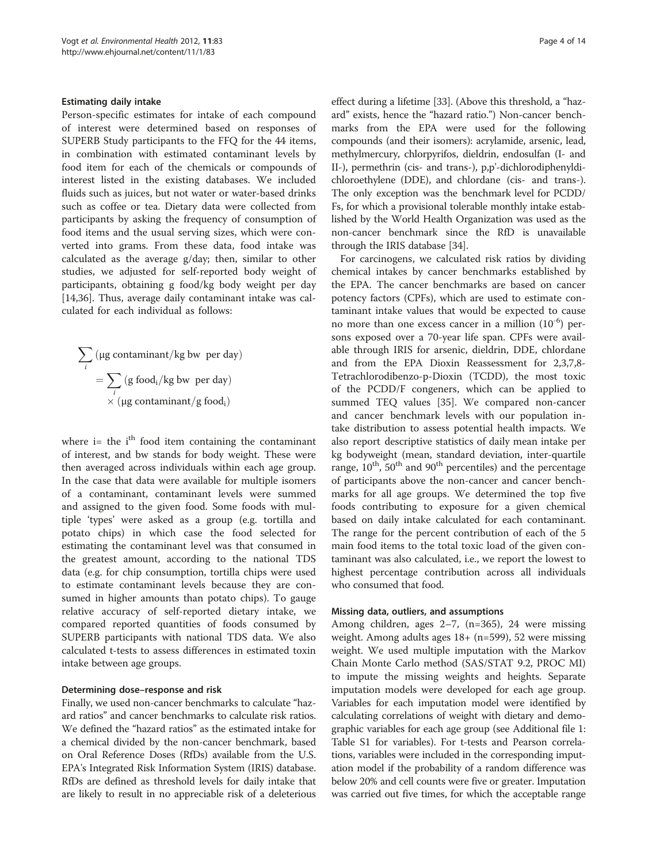#### Estimating daily intake

Person-specific estimates for intake of each compound of interest were determined based on responses of SUPERB Study participants to the FFQ for the 44 items, in combination with estimated contaminant levels by food item for each of the chemicals or compounds of interest listed in the existing databases. We included fluids such as juices, but not water or water-based drinks such as coffee or tea. Dietary data were collected from participants by asking the frequency of consumption of food items and the usual serving sizes, which were converted into grams. From these data, food intake was calculated as the average g/day; then, similar to other studies, we adjusted for self-reported body weight of participants, obtaining g food/kg body weight per day [[14,](#page-12-0)[36\]](#page-13-0). Thus, average daily contaminant intake was calculated for each individual as follows:

$$
\sum_{i} (\mu \text{g contaminant/kg bw per day})
$$

$$
= \sum_{i} (\text{g food}_i/\text{kg bw per day})
$$

$$
\times (\mu \text{g contaminant/g food}_i)
$$

where  $i=$  the  $i<sup>th</sup>$  food item containing the contaminant of interest, and bw stands for body weight. These were then averaged across individuals within each age group. In the case that data were available for multiple isomers of a contaminant, contaminant levels were summed and assigned to the given food. Some foods with multiple 'types' were asked as a group (e.g. tortilla and potato chips) in which case the food selected for estimating the contaminant level was that consumed in the greatest amount, according to the national TDS data (e.g. for chip consumption, tortilla chips were used to estimate contaminant levels because they are consumed in higher amounts than potato chips). To gauge relative accuracy of self-reported dietary intake, we compared reported quantities of foods consumed by SUPERB participants with national TDS data. We also calculated t-tests to assess differences in estimated toxin intake between age groups.

#### Determining dose–response and risk

Finally, we used non-cancer benchmarks to calculate "hazard ratios" and cancer benchmarks to calculate risk ratios. We defined the "hazard ratios" as the estimated intake for a chemical divided by the non-cancer benchmark, based on Oral Reference Doses (RfDs) available from the U.S. EPA's Integrated Risk Information System (IRIS) database. RfDs are defined as threshold levels for daily intake that are likely to result in no appreciable risk of a deleterious effect during a lifetime [\[33](#page-12-0)]. (Above this threshold, a "hazard" exists, hence the "hazard ratio.") Non-cancer benchmarks from the EPA were used for the following compounds (and their isomers): acrylamide, arsenic, lead, methylmercury, chlorpyrifos, dieldrin, endosulfan (I- and II-), permethrin (cis- and trans-), p,p'-dichlorodiphenyldichloroethylene (DDE), and chlordane (cis- and trans-). The only exception was the benchmark level for PCDD/ Fs, for which a provisional tolerable monthly intake established by the World Health Organization was used as the non-cancer benchmark since the RfD is unavailable through the IRIS database [[34](#page-12-0)].

For carcinogens, we calculated risk ratios by dividing chemical intakes by cancer benchmarks established by the EPA. The cancer benchmarks are based on cancer potency factors (CPFs), which are used to estimate contaminant intake values that would be expected to cause no more than one excess cancer in a million  $(10^{-6})$  persons exposed over a 70-year life span. CPFs were available through IRIS for arsenic, dieldrin, DDE, chlordane and from the EPA Dioxin Reassessment for 2,3,7,8- Tetrachlorodibenzo-p-Dioxin (TCDD), the most toxic of the PCDD/F congeners, which can be applied to summed TEQ values [[35\]](#page-12-0). We compared non-cancer and cancer benchmark levels with our population intake distribution to assess potential health impacts. We also report descriptive statistics of daily mean intake per kg bodyweight (mean, standard deviation, inter-quartile range,  $10^{th}$ ,  $50^{th}$  and  $90^{th}$  percentiles) and the percentage of participants above the non-cancer and cancer benchmarks for all age groups. We determined the top five foods contributing to exposure for a given chemical based on daily intake calculated for each contaminant. The range for the percent contribution of each of the 5 main food items to the total toxic load of the given contaminant was also calculated, i.e., we report the lowest to highest percentage contribution across all individuals who consumed that food.

#### Missing data, outliers, and assumptions

Among children, ages 2–7, (n=365), 24 were missing weight. Among adults ages 18+ (n=599), 52 were missing weight. We used multiple imputation with the Markov Chain Monte Carlo method (SAS/STAT 9.2, PROC MI) to impute the missing weights and heights. Separate imputation models were developed for each age group. Variables for each imputation model were identified by calculating correlations of weight with dietary and demographic variables for each age group (see Additional file [1](#page-11-0): Table S1 for variables). For t-tests and Pearson correlations, variables were included in the corresponding imputation model if the probability of a random difference was below 20% and cell counts were five or greater. Imputation was carried out five times, for which the acceptable range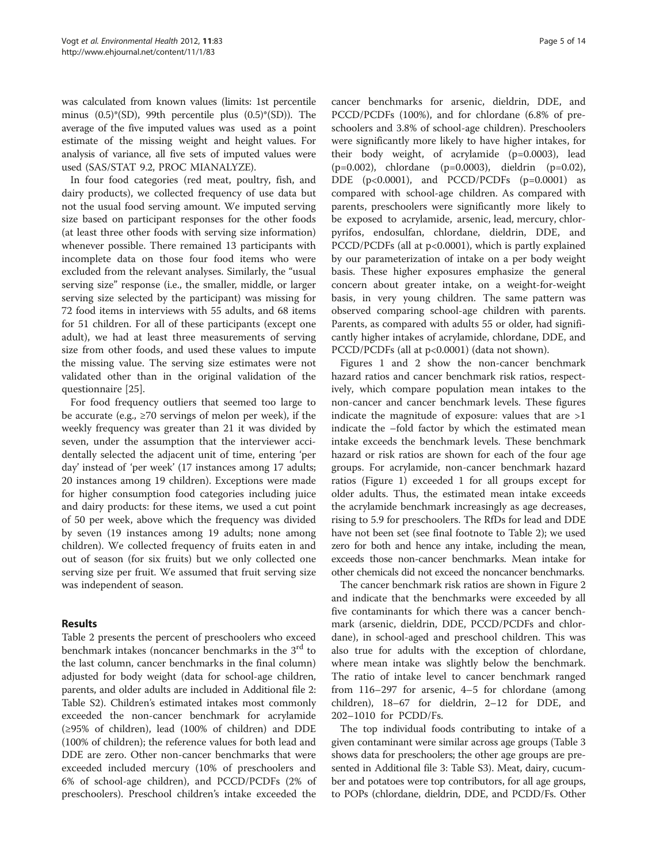was calculated from known values (limits: 1st percentile minus (0.5)\*(SD), 99th percentile plus (0.5)\*(SD)). The average of the five imputed values was used as a point estimate of the missing weight and height values. For analysis of variance, all five sets of imputed values were used (SAS/STAT 9.2, PROC MIANALYZE).

In four food categories (red meat, poultry, fish, and dairy products), we collected frequency of use data but not the usual food serving amount. We imputed serving size based on participant responses for the other foods (at least three other foods with serving size information) whenever possible. There remained 13 participants with incomplete data on those four food items who were excluded from the relevant analyses. Similarly, the "usual serving size" response (i.e., the smaller, middle, or larger serving size selected by the participant) was missing for 72 food items in interviews with 55 adults, and 68 items for 51 children. For all of these participants (except one adult), we had at least three measurements of serving size from other foods, and used these values to impute the missing value. The serving size estimates were not validated other than in the original validation of the questionnaire [\[25](#page-12-0)].

For food frequency outliers that seemed too large to be accurate (e.g., ≥70 servings of melon per week), if the weekly frequency was greater than 21 it was divided by seven, under the assumption that the interviewer accidentally selected the adjacent unit of time, entering 'per day' instead of 'per week' (17 instances among 17 adults; 20 instances among 19 children). Exceptions were made for higher consumption food categories including juice and dairy products: for these items, we used a cut point of 50 per week, above which the frequency was divided by seven (19 instances among 19 adults; none among children). We collected frequency of fruits eaten in and out of season (for six fruits) but we only collected one serving size per fruit. We assumed that fruit serving size was independent of season.

# Results

Table [2](#page-5-0) presents the percent of preschoolers who exceed benchmark intakes (noncancer benchmarks in the  $3<sup>rd</sup>$  to the last column, cancer benchmarks in the final column) adjusted for body weight (data for school-age children, parents, and older adults are included in [Additional file 2:](#page-11-0) [Table S2](#page-11-0)). Children's estimated intakes most commonly exceeded the non-cancer benchmark for acrylamide (≥95% of children), lead (100% of children) and DDE (100% of children); the reference values for both lead and DDE are zero. Other non-cancer benchmarks that were exceeded included mercury (10% of preschoolers and 6% of school-age children), and PCCD/PCDFs (2% of preschoolers). Preschool children's intake exceeded the

cancer benchmarks for arsenic, dieldrin, DDE, and PCCD/PCDFs (100%), and for chlordane (6.8% of preschoolers and 3.8% of school-age children). Preschoolers were significantly more likely to have higher intakes, for their body weight, of acrylamide (p=0.0003), lead (p=0.002), chlordane (p=0.0003), dieldrin (p=0.02), DDE (p<0.0001), and PCCD/PCDFs (p=0.0001) as compared with school-age children. As compared with parents, preschoolers were significantly more likely to be exposed to acrylamide, arsenic, lead, mercury, chlorpyrifos, endosulfan, chlordane, dieldrin, DDE, and PCCD/PCDFs (all at p<0.0001), which is partly explained by our parameterization of intake on a per body weight basis. These higher exposures emphasize the general concern about greater intake, on a weight-for-weight basis, in very young children. The same pattern was observed comparing school-age children with parents. Parents, as compared with adults 55 or older, had significantly higher intakes of acrylamide, chlordane, DDE, and PCCD/PCDFs (all at  $p<0.0001$ ) (data not shown).

Figures [1](#page-6-0) and [2](#page-6-0) show the non-cancer benchmark hazard ratios and cancer benchmark risk ratios, respectively, which compare population mean intakes to the non-cancer and cancer benchmark levels. These figures indicate the magnitude of exposure: values that are >1 indicate the –fold factor by which the estimated mean intake exceeds the benchmark levels. These benchmark hazard or risk ratios are shown for each of the four age groups. For acrylamide, non-cancer benchmark hazard ratios (Figure [1](#page-6-0)) exceeded 1 for all groups except for older adults. Thus, the estimated mean intake exceeds the acrylamide benchmark increasingly as age decreases, rising to 5.9 for preschoolers. The RfDs for lead and DDE have not been set (see final footnote to Table [2](#page-5-0)); we used zero for both and hence any intake, including the mean, exceeds those non-cancer benchmarks. Mean intake for other chemicals did not exceed the noncancer benchmarks.

The cancer benchmark risk ratios are shown in Figure [2](#page-6-0) and indicate that the benchmarks were exceeded by all five contaminants for which there was a cancer benchmark (arsenic, dieldrin, DDE, PCCD/PCDFs and chlordane), in school-aged and preschool children. This was also true for adults with the exception of chlordane, where mean intake was slightly below the benchmark. The ratio of intake level to cancer benchmark ranged from 116–297 for arsenic, 4–5 for chlordane (among children), 18–67 for dieldrin, 2–12 for DDE, and 202–1010 for PCDD/Fs.

The top individual foods contributing to intake of a given contaminant were similar across age groups (Table [3](#page-7-0) shows data for preschoolers; the other age groups are presented in [Additional file 3: Table S3\)](#page-11-0). Meat, dairy, cucumber and potatoes were top contributors, for all age groups, to POPs (chlordane, dieldrin, DDE, and PCDD/Fs. Other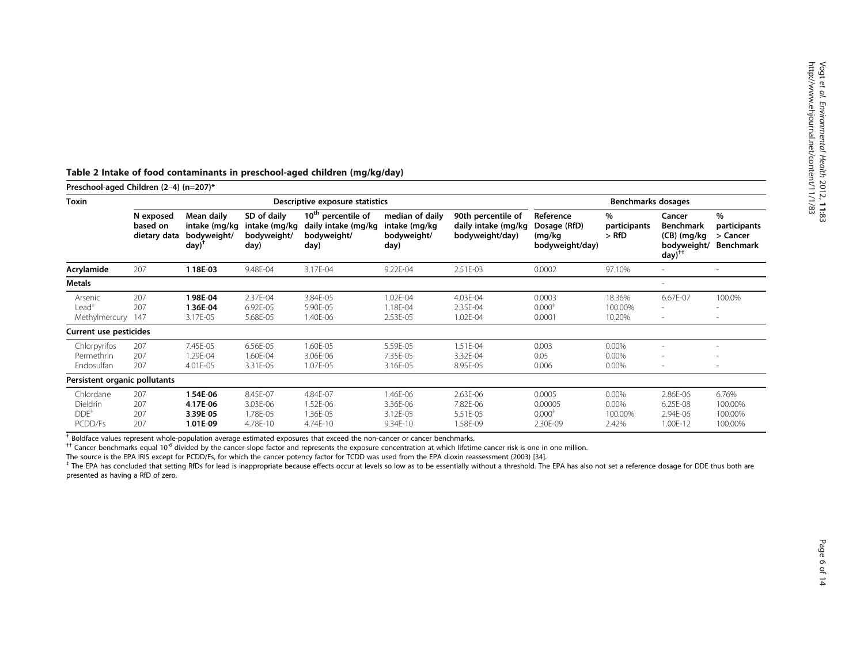| Toxin                                      | Descriptive exposure statistics       |                                                    |                                                     |                                                                              |                                                         |                                                              |                                                        | Benchmarks dosages                 |                                                                                     |                                            |  |
|--------------------------------------------|---------------------------------------|----------------------------------------------------|-----------------------------------------------------|------------------------------------------------------------------------------|---------------------------------------------------------|--------------------------------------------------------------|--------------------------------------------------------|------------------------------------|-------------------------------------------------------------------------------------|--------------------------------------------|--|
|                                            | N exposed<br>based on<br>dietary data | Mean daily<br>intake (mg/kg<br>bodyweight/<br>day) | SD of daily<br>intake (mg/kg<br>bodyweight/<br>day) | 10 <sup>th</sup> percentile of<br>daily intake (mg/kg<br>bodyweight/<br>day) | median of daily<br>intake (mg/kg<br>bodyweight/<br>day) | 90th percentile of<br>daily intake (mg/kg<br>bodyweight/day) | Reference<br>Dosage (RfD)<br>(mg/kg<br>bodyweight/day) | %<br>participants<br>> RfD         | Cancer<br><b>Benchmark</b><br>$(CB)$ (mg/kg)<br>bodyweight/<br>$day)$ <sup>++</sup> | %<br>participants<br>> Cancer<br>Benchmark |  |
| Acrylamide                                 | 207                                   | 1.18E-03                                           | 9.48E-04                                            | 3.17E-04                                                                     | 9.22E-04                                                | 2.51E-03                                                     | 0.0002                                                 | 97.10%                             |                                                                                     |                                            |  |
| <b>Metals</b>                              |                                       |                                                    |                                                     |                                                                              |                                                         |                                                              |                                                        |                                    |                                                                                     |                                            |  |
| Arsenic<br>Lead*<br>Methylmercury          | 207<br>207<br>147                     | 1.98E-04<br>1.36E-04<br>3.17E-05                   | 2.37E-04<br>6.92E-05<br>5.68E-05                    | 3.84E-05<br>5.90E-05<br>1.40E-06                                             | 1.02E-04<br>1.18E-04<br>2.53E-05                        | 4.03E-04<br>2.35E-04<br>1.02E-04                             | 0.0003<br>0.000 <sup>‡</sup><br>0.0001                 | 18.36%<br>100.00%<br>10.20%        | 6.67E-07                                                                            | 100.0%<br>$\overline{\phantom{a}}$         |  |
| Current use pesticides                     |                                       |                                                    |                                                     |                                                                              |                                                         |                                                              |                                                        |                                    |                                                                                     |                                            |  |
| Chlorpyrifos<br>Permethrin<br>Endosulfan   | 207<br>207<br>207                     | 7.45E-05<br>1.29E-04<br>4.01E-05                   | 6.56E-05<br>1.60E-04<br>3.31E-05                    | 1.60E-05<br>3.06E-06<br>1.07E-05                                             | 5.59E-05<br>7.35E-05<br>3.16E-05                        | 1.51E-04<br>3.32E-04<br>8.95E-05                             | 0.003<br>0.05<br>0.006                                 | 0.00%<br>0.00%<br>0.00%            |                                                                                     | $\overline{\phantom{a}}$                   |  |
| Persistent organic pollutants              |                                       |                                                    |                                                     |                                                                              |                                                         |                                                              |                                                        |                                    |                                                                                     |                                            |  |
| Chlordane<br>Dieldrin<br>$DDE+$<br>PCDD/Fs | 207<br>207<br>207<br>207              | 1.54E-06<br>4.17E-06<br>3.39E-05<br>1.01E-09       | 8.45E-07<br>3.03E-06<br>1.78E-05<br>4.78E-10        | 4.84E-07<br>1.52E-06<br>1.36E-05<br>4.74E-10                                 | 1.46E-06<br>3.36E-06<br>3.12E-05<br>9.34E-10            | 2.63E-06<br>7.82E-06<br>5.51E-05<br>1.58E-09                 | 0.0005<br>0.00005<br>$0.000+$<br>2.30E-09              | 0.00%<br>0.00%<br>100.00%<br>2.42% | 2.86E-06<br>6.25E-08<br>2.94E-06<br>1.00E-12                                        | 6.76%<br>100.00%<br>100.00%<br>100.00%     |  |

#### <span id="page-5-0"></span>Table 2 Intake of food contaminants in preschool-aged children (mg/kg/day)

Preschool-aged Children (2–4) (n=207)\*

† Boldface values represent whole-population average estimated exposures that exceed the non-cancer or cancer benchmarks.

 $<sup>††</sup>$  Cancer benchmarks equal 10<sup>-6</sup> divided by the cancer slope factor and represents the exposure concentration at which lifetime cancer risk is one in one million.<br>The source is the EPA IRIS except for PCDD/Fs, fo</sup>

\* The EPA has concluded that setting RfDs for lead is inappropriate because effects occur at levels so low as to be essentially without a threshold. The EPA has also not set a reference dosage for DDE thus both are presented as having a RfD of zero.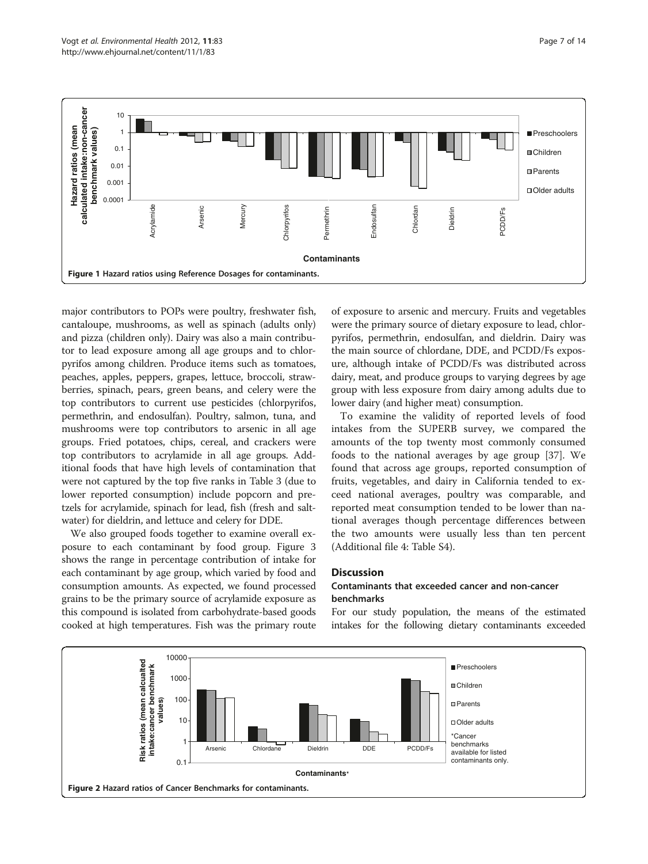<span id="page-6-0"></span>

major contributors to POPs were poultry, freshwater fish, cantaloupe, mushrooms, as well as spinach (adults only) and pizza (children only). Dairy was also a main contributor to lead exposure among all age groups and to chlorpyrifos among children. Produce items such as tomatoes, peaches, apples, peppers, grapes, lettuce, broccoli, strawberries, spinach, pears, green beans, and celery were the top contributors to current use pesticides (chlorpyrifos, permethrin, and endosulfan). Poultry, salmon, tuna, and mushrooms were top contributors to arsenic in all age groups. Fried potatoes, chips, cereal, and crackers were top contributors to acrylamide in all age groups. Additional foods that have high levels of contamination that were not captured by the top five ranks in Table [3](#page-7-0) (due to lower reported consumption) include popcorn and pretzels for acrylamide, spinach for lead, fish (fresh and saltwater) for dieldrin, and lettuce and celery for DDE.

We also grouped foods together to examine overall exposure to each contaminant by food group. Figure [3](#page-8-0) shows the range in percentage contribution of intake for each contaminant by age group, which varied by food and consumption amounts. As expected, we found processed grains to be the primary source of acrylamide exposure as this compound is isolated from carbohydrate-based goods cooked at high temperatures. Fish was the primary route of exposure to arsenic and mercury. Fruits and vegetables were the primary source of dietary exposure to lead, chlorpyrifos, permethrin, endosulfan, and dieldrin. Dairy was the main source of chlordane, DDE, and PCDD/Fs exposure, although intake of PCDD/Fs was distributed across dairy, meat, and produce groups to varying degrees by age group with less exposure from dairy among adults due to lower dairy (and higher meat) consumption.

To examine the validity of reported levels of food intakes from the SUPERB survey, we compared the amounts of the top twenty most commonly consumed foods to the national averages by age group [\[37](#page-13-0)]. We found that across age groups, reported consumption of fruits, vegetables, and dairy in California tended to exceed national averages, poultry was comparable, and reported meat consumption tended to be lower than national averages though percentage differences between the two amounts were usually less than ten percent ([Additional file 4: Table S4](#page-11-0)).

#### **Discussion**

# Contaminants that exceeded cancer and non-cancer benchmarks

For our study population, the means of the estimated intakes for the following dietary contaminants exceeded

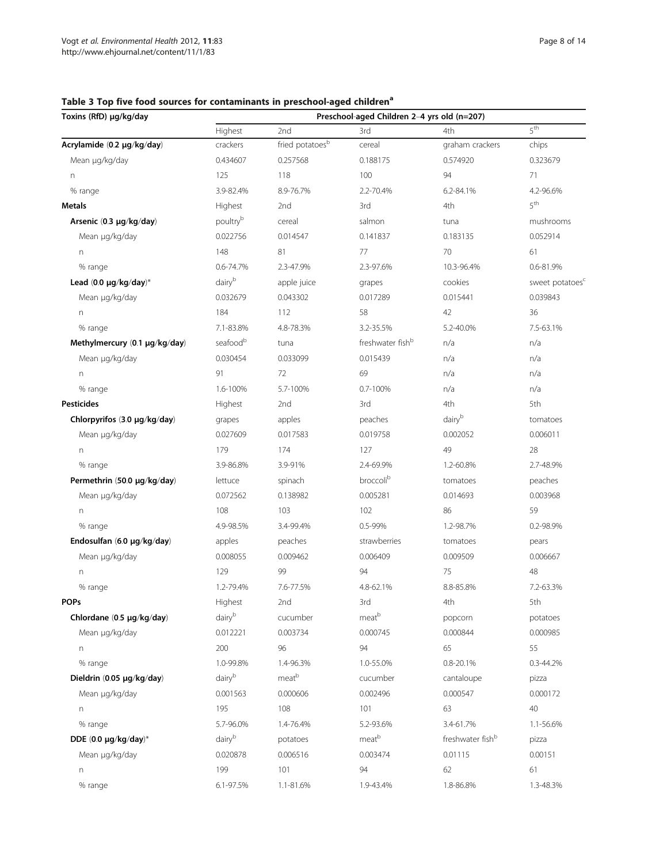# <span id="page-7-0"></span>Table 3 Top five food sources for contaminants in preschool-aged children<sup>a</sup>

| Toxins (RfD) µg/kg/day        | rapie 5 Top nie 100a soarces for contaminants in preschooragea chilaren<br>Preschool-aged Children 2-4 yrs old (n=207) |                             |                              |                              |                             |  |  |
|-------------------------------|------------------------------------------------------------------------------------------------------------------------|-----------------------------|------------------------------|------------------------------|-----------------------------|--|--|
|                               | Highest                                                                                                                | 2nd                         | 3rd                          | 4th                          | 5 <sup>th</sup>             |  |  |
| Acrylamide (0.2 µg/kg/day)    | crackers                                                                                                               | fried potatoes <sup>b</sup> | cereal                       | graham crackers              | chips                       |  |  |
| Mean µg/kg/day                | 0.434607                                                                                                               | 0.257568                    | 0.188175                     | 0.574920                     | 0.323679                    |  |  |
| n                             | 125                                                                                                                    | 118                         | 100                          | 94                           | 71                          |  |  |
| % range                       | 3.9-82.4%                                                                                                              | 8.9-76.7%                   | 2.2-70.4%                    | 6.2-84.1%                    | 4.2-96.6%                   |  |  |
| <b>Metals</b>                 | Highest                                                                                                                | 2nd                         | 3rd                          | 4th                          | 5 <sup>th</sup>             |  |  |
| Arsenic (0.3 µg/kg/day)       | poultryb                                                                                                               | cereal                      | salmon                       | tuna                         | mushrooms                   |  |  |
| Mean µg/kg/day                | 0.022756                                                                                                               | 0.014547                    | 0.141837                     | 0.183135                     | 0.052914                    |  |  |
| n                             | 148                                                                                                                    | 81                          | 77                           | 70                           | 61                          |  |  |
| % range                       | 0.6-74.7%                                                                                                              | 2.3-47.9%                   | 2.3-97.6%                    | 10.3-96.4%                   | 0.6-81.9%                   |  |  |
| Lead (0.0 µg/kg/day)*         | dairyb                                                                                                                 | apple juice                 | grapes                       | cookies                      | sweet potatoes <sup>c</sup> |  |  |
| Mean µg/kg/day                | 0.032679                                                                                                               | 0.043302                    | 0.017289                     | 0.015441                     | 0.039843                    |  |  |
| n                             | 184                                                                                                                    | 112                         | 58                           | 42                           | 36                          |  |  |
| % range                       | 7.1-83.8%                                                                                                              | 4.8-78.3%                   | 3.2-35.5%                    | 5.2-40.0%                    | 7.5-63.1%                   |  |  |
| Methylmercury (0.1 µg/kg/day) | seafoodb                                                                                                               | tuna                        | freshwater fish <sup>b</sup> | n/a                          | n/a                         |  |  |
| Mean µg/kg/day                | 0.030454                                                                                                               | 0.033099                    | 0.015439                     | n/a                          | n/a                         |  |  |
| n                             | 91                                                                                                                     | 72                          | 69                           | n/a                          | n/a                         |  |  |
| % range                       | 1.6-100%                                                                                                               | 5.7-100%                    | 0.7-100%                     | n/a                          | n/a                         |  |  |
| <b>Pesticides</b>             | Highest                                                                                                                | 2nd                         | 3rd                          | 4th                          | 5th                         |  |  |
| Chlorpyrifos (3.0 µg/kg/day)  | grapes                                                                                                                 | apples                      | peaches                      | dairyb                       | tomatoes                    |  |  |
| Mean µg/kg/day                | 0.027609                                                                                                               | 0.017583                    | 0.019758                     | 0.002052                     | 0.006011                    |  |  |
| n                             | 179                                                                                                                    | 174                         | 127                          | 49                           | 28                          |  |  |
| % range                       | 3.9-86.8%                                                                                                              | 3.9-91%                     | 2.4-69.9%                    | 1.2-60.8%                    | 2.7-48.9%                   |  |  |
| Permethrin (50.0 µg/kg/day)   | lettuce                                                                                                                | spinach                     | broccolib                    | tomatoes                     | peaches                     |  |  |
| Mean µg/kg/day                | 0.072562                                                                                                               | 0.138982                    | 0.005281                     | 0.014693                     | 0.003968                    |  |  |
| n                             | 108                                                                                                                    | 103                         | 102                          | 86                           | 59                          |  |  |
| % range                       | 4.9-98.5%                                                                                                              | 3.4-99.4%                   | 0.5-99%                      | 1.2-98.7%                    | 0.2-98.9%                   |  |  |
| Endosulfan (6.0 µg/kg/day)    | apples                                                                                                                 | peaches                     | strawberries                 | tomatoes                     | pears                       |  |  |
| Mean µg/kg/day                | 0.008055                                                                                                               | 0.009462                    | 0.006409                     | 0.009509                     | 0.006667                    |  |  |
| n                             | 129                                                                                                                    | 99                          | 94                           | 75                           | 48                          |  |  |
| % range                       | 1.2-79.4%                                                                                                              | 7.6-77.5%                   | 4.8-62.1%                    | 8.8-85.8%                    | 7.2-63.3%                   |  |  |
| <b>POPs</b>                   | Highest                                                                                                                | 2nd                         | 3rd                          | 4th                          | 5th                         |  |  |
| Chlordane (0.5 µg/kg/day)     | dairyb                                                                                                                 | cucumber                    | meat <sup>b</sup>            | popcorn                      | potatoes                    |  |  |
| Mean µg/kg/day                | 0.012221                                                                                                               | 0.003734                    | 0.000745                     | 0.000844                     | 0.000985                    |  |  |
| n                             | 200                                                                                                                    | 96                          | 94                           | 65                           | 55                          |  |  |
| % range                       | 1.0-99.8%                                                                                                              | 1.4-96.3%                   | 1.0-55.0%                    | 0.8-20.1%                    | 0.3-44.2%                   |  |  |
| Dieldrin (0.05 µg/kg/day)     | dairyb                                                                                                                 | meat <sup>b</sup>           | cucumber                     | cantaloupe                   | pizza                       |  |  |
| Mean µg/kg/day                | 0.001563                                                                                                               | 0.000606                    | 0.002496                     | 0.000547                     | 0.000172                    |  |  |
| n.                            | 195                                                                                                                    | 108                         | 101                          | 63                           | 40                          |  |  |
| % range                       | 5.7-96.0%                                                                                                              | 1.4-76.4%                   | 5.2-93.6%                    | 3.4-61.7%                    | 1.1-56.6%                   |  |  |
| DDE (0.0 µg/kg/day)*          | dairyb                                                                                                                 | potatoes                    | meat <sup>b</sup>            | freshwater fish <sup>b</sup> | pizza                       |  |  |
| Mean µg/kg/day                | 0.020878                                                                                                               | 0.006516                    | 0.003474                     | 0.01115                      | 0.00151                     |  |  |
| n                             | 199                                                                                                                    | 101                         | 94                           | 62                           | 61                          |  |  |
| % range                       | 6.1-97.5%                                                                                                              | 1.1-81.6%                   | 1.9-43.4%                    | 1.8-86.8%                    | 1.3-48.3%                   |  |  |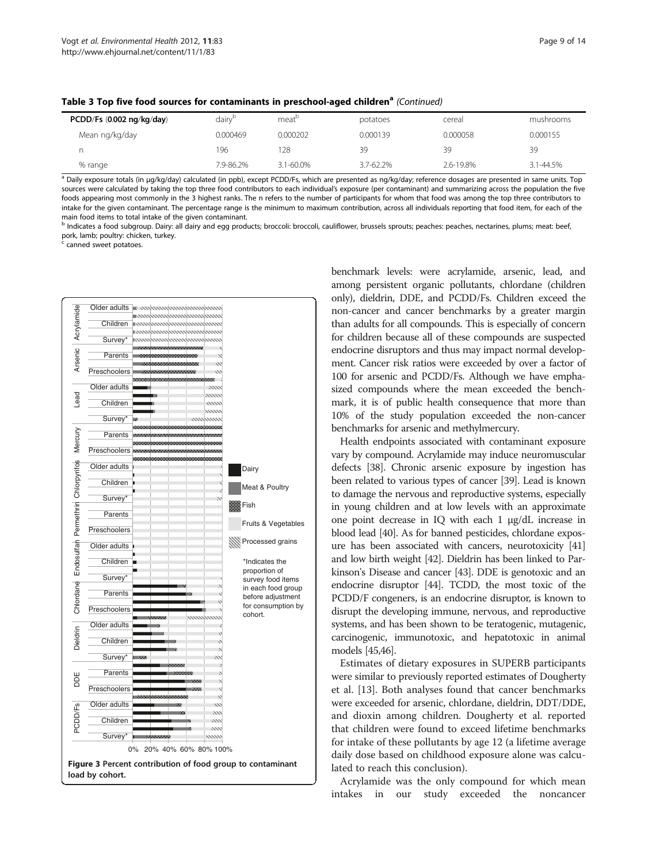| PCDD/Fs (0.002 ng/kg/day) | dairy <sup>p</sup> | meat <sup>"</sup> | potatoes  | cereal    | mushrooms |
|---------------------------|--------------------|-------------------|-----------|-----------|-----------|
| Mean ng/kg/day            | 0.000469           | 0.000202          | 0.000139  | 0.000058  | 0.000155  |
|                           | 196                | 28                | 39        | 39        | 39        |
| % range                   | 7.9-86.2%          | $3.1 - 60.0\%$    | 3.7-62.2% | 2.6-19.8% | 3.1-44.5% |

# <span id="page-8-0"></span>Table 3 Top five food sources for contaminants in preschool-aged children<sup>a</sup> (Continued)

<sup>a</sup> Daily exposure totals (in μg/kg/day) calculated (in ppb), except PCDD/Fs, which are presented as ng/kg/day; reference dosages are presented in same units. Top sources were calculated by taking the top three food contributors to each individual's exposure (per contaminant) and summarizing across the population the five foods appearing most commonly in the 3 highest ranks. The n refers to the number of participants for whom that food was among the top three contributors to intake for the given contaminant. The percentage range is the minimum to maximum contribution, across all individuals reporting that food item, for each of the main food items to total intake of the given contaminant.

<sup>b</sup> Indicates a food subgroup. Dairy: all dairy and egg products; broccoli: broccoli, cauliflower, brussels sprouts; peaches: peaches, nectarines, plums; meat: beef, pork, lamb; poultry: chicken, turkey.

canned sweet potatoes.



benchmark levels: were acrylamide, arsenic, lead, and among persistent organic pollutants, chlordane (children only), dieldrin, DDE, and PCDD/Fs. Children exceed the non-cancer and cancer benchmarks by a greater margin than adults for all compounds. This is especially of concern for children because all of these compounds are suspected endocrine disruptors and thus may impact normal development. Cancer risk ratios were exceeded by over a factor of 100 for arsenic and PCDD/Fs. Although we have emphasized compounds where the mean exceeded the benchmark, it is of public health consequence that more than 10% of the study population exceeded the non-cancer benchmarks for arsenic and methylmercury.

Health endpoints associated with contaminant exposure vary by compound. Acrylamide may induce neuromuscular defects [\[38\]](#page-13-0). Chronic arsenic exposure by ingestion has been related to various types of cancer [\[39\]](#page-13-0). Lead is known to damage the nervous and reproductive systems, especially in young children and at low levels with an approximate one point decrease in IQ with each 1 μg/dL increase in blood lead [[40](#page-13-0)]. As for banned pesticides, chlordane exposure has been associated with cancers, neurotoxicity [\[41](#page-13-0)] and low birth weight [\[42\]](#page-13-0). Dieldrin has been linked to Parkinson's Disease and cancer [\[43](#page-13-0)]. DDE is genotoxic and an endocrine disruptor [\[44\]](#page-13-0). TCDD, the most toxic of the PCDD/F congeners, is an endocrine disruptor, is known to disrupt the developing immune, nervous, and reproductive systems, and has been shown to be teratogenic, mutagenic, carcinogenic, immunotoxic, and hepatotoxic in animal models [\[45,46](#page-13-0)].

Estimates of dietary exposures in SUPERB participants were similar to previously reported estimates of Dougherty et al. [\[13\]](#page-12-0). Both analyses found that cancer benchmarks were exceeded for arsenic, chlordane, dieldrin, DDT/DDE, and dioxin among children. Dougherty et al. reported that children were found to exceed lifetime benchmarks for intake of these pollutants by age 12 (a lifetime average daily dose based on childhood exposure alone was calculated to reach this conclusion).

Acrylamide was the only compound for which mean intakes in our study exceeded the noncancer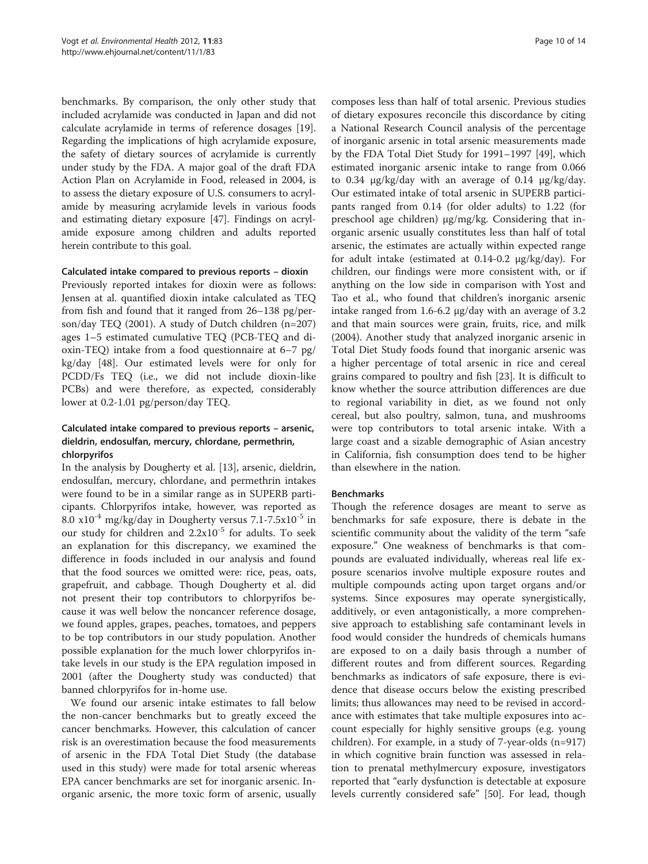benchmarks. By comparison, the only other study that included acrylamide was conducted in Japan and did not calculate acrylamide in terms of reference dosages [\[19](#page-12-0)]. Regarding the implications of high acrylamide exposure, the safety of dietary sources of acrylamide is currently under study by the FDA. A major goal of the draft FDA Action Plan on Acrylamide in Food, released in 2004, is to assess the dietary exposure of U.S. consumers to acrylamide by measuring acrylamide levels in various foods and estimating dietary exposure [\[47\]](#page-13-0). Findings on acrylamide exposure among children and adults reported herein contribute to this goal.

#### Calculated intake compared to previous reports – dioxin

Previously reported intakes for dioxin were as follows: Jensen at al. quantified dioxin intake calculated as TEQ from fish and found that it ranged from 26–138 pg/person/day TEQ (2001). A study of Dutch children (n=207) ages 1–5 estimated cumulative TEQ (PCB-TEQ and dioxin-TEQ) intake from a food questionnaire at 6–7 pg/ kg/day [\[48](#page-13-0)]. Our estimated levels were for only for PCDD/Fs TEQ (i.e., we did not include dioxin-like PCBs) and were therefore, as expected, considerably lower at 0.2-1.01 pg/person/day TEQ.

# Calculated intake compared to previous reports – arsenic, dieldrin, endosulfan, mercury, chlordane, permethrin, chlorpyrifos

In the analysis by Dougherty et al. [\[13](#page-12-0)], arsenic, dieldrin, endosulfan, mercury, chlordane, and permethrin intakes were found to be in a similar range as in SUPERB participants. Chlorpyrifos intake, however, was reported as 8.0  $x10^{-4}$  mg/kg/day in Dougherty versus 7.1-7.5 $x10^{-5}$  in our study for children and  $2.2x10^{-5}$  for adults. To seek an explanation for this discrepancy, we examined the difference in foods included in our analysis and found that the food sources we omitted were: rice, peas, oats, grapefruit, and cabbage. Though Dougherty et al. did not present their top contributors to chlorpyrifos because it was well below the noncancer reference dosage, we found apples, grapes, peaches, tomatoes, and peppers to be top contributors in our study population. Another possible explanation for the much lower chlorpyrifos intake levels in our study is the EPA regulation imposed in 2001 (after the Dougherty study was conducted) that banned chlorpyrifos for in-home use.

We found our arsenic intake estimates to fall below the non-cancer benchmarks but to greatly exceed the cancer benchmarks. However, this calculation of cancer risk is an overestimation because the food measurements of arsenic in the FDA Total Diet Study (the database used in this study) were made for total arsenic whereas EPA cancer benchmarks are set for inorganic arsenic. Inorganic arsenic, the more toxic form of arsenic, usually

composes less than half of total arsenic. Previous studies of dietary exposures reconcile this discordance by citing a National Research Council analysis of the percentage of inorganic arsenic in total arsenic measurements made by the FDA Total Diet Study for 1991–1997 [[49](#page-13-0)], which estimated inorganic arsenic intake to range from 0.066 to 0.34 μg/kg/day with an average of 0.14 μg/kg/day. Our estimated intake of total arsenic in SUPERB participants ranged from 0.14 (for older adults) to 1.22 (for preschool age children) μg/mg/kg. Considering that inorganic arsenic usually constitutes less than half of total arsenic, the estimates are actually within expected range for adult intake (estimated at 0.14-0.2 μg/kg/day). For children, our findings were more consistent with, or if anything on the low side in comparison with Yost and Tao et al., who found that children's inorganic arsenic intake ranged from 1.6-6.2 μg/day with an average of 3.2 and that main sources were grain, fruits, rice, and milk (2004). Another study that analyzed inorganic arsenic in Total Diet Study foods found that inorganic arsenic was a higher percentage of total arsenic in rice and cereal grains compared to poultry and fish [[23](#page-12-0)]. It is difficult to know whether the source attribution differences are due to regional variability in diet, as we found not only cereal, but also poultry, salmon, tuna, and mushrooms were top contributors to total arsenic intake. With a large coast and a sizable demographic of Asian ancestry in California, fish consumption does tend to be higher than elsewhere in the nation.

# Benchmarks

Though the reference dosages are meant to serve as benchmarks for safe exposure, there is debate in the scientific community about the validity of the term "safe exposure." One weakness of benchmarks is that compounds are evaluated individually, whereas real life exposure scenarios involve multiple exposure routes and multiple compounds acting upon target organs and/or systems. Since exposures may operate synergistically, additively, or even antagonistically, a more comprehensive approach to establishing safe contaminant levels in food would consider the hundreds of chemicals humans are exposed to on a daily basis through a number of different routes and from different sources. Regarding benchmarks as indicators of safe exposure, there is evidence that disease occurs below the existing prescribed limits; thus allowances may need to be revised in accordance with estimates that take multiple exposures into account especially for highly sensitive groups (e.g. young children). For example, in a study of 7-year-olds (n=917) in which cognitive brain function was assessed in relation to prenatal methylmercury exposure, investigators reported that "early dysfunction is detectable at exposure levels currently considered safe" [\[50](#page-13-0)]. For lead, though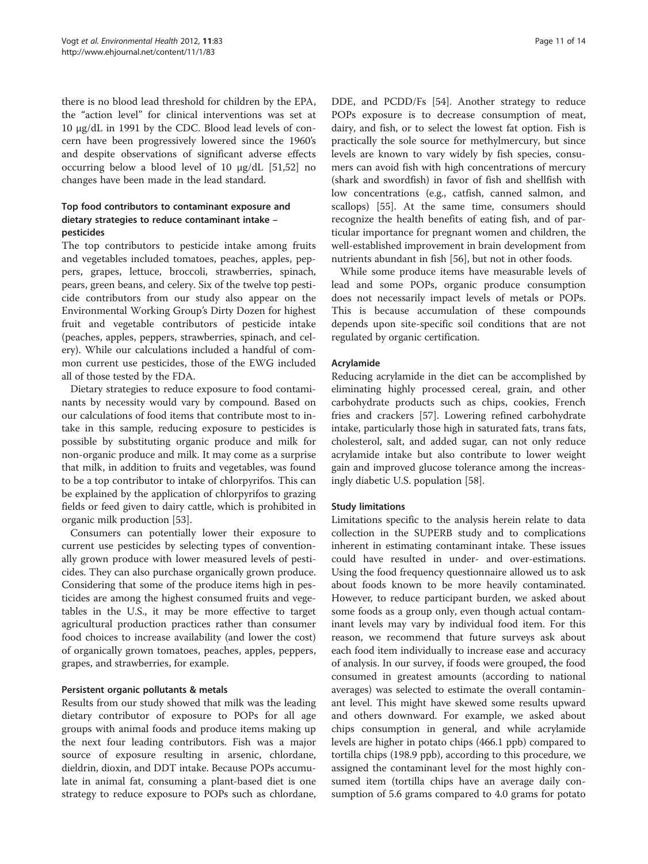there is no blood lead threshold for children by the EPA, the "action level" for clinical interventions was set at 10 μg/dL in 1991 by the CDC. Blood lead levels of concern have been progressively lowered since the 1960's and despite observations of significant adverse effects occurring below a blood level of 10 μg/dL [\[51,52\]](#page-13-0) no changes have been made in the lead standard.

# Top food contributors to contaminant exposure and dietary strategies to reduce contaminant intake – pesticides

The top contributors to pesticide intake among fruits and vegetables included tomatoes, peaches, apples, peppers, grapes, lettuce, broccoli, strawberries, spinach, pears, green beans, and celery. Six of the twelve top pesticide contributors from our study also appear on the Environmental Working Group's Dirty Dozen for highest fruit and vegetable contributors of pesticide intake (peaches, apples, peppers, strawberries, spinach, and celery). While our calculations included a handful of common current use pesticides, those of the EWG included all of those tested by the FDA.

Dietary strategies to reduce exposure to food contaminants by necessity would vary by compound. Based on our calculations of food items that contribute most to intake in this sample, reducing exposure to pesticides is possible by substituting organic produce and milk for non-organic produce and milk. It may come as a surprise that milk, in addition to fruits and vegetables, was found to be a top contributor to intake of chlorpyrifos. This can be explained by the application of chlorpyrifos to grazing fields or feed given to dairy cattle, which is prohibited in organic milk production [\[53](#page-13-0)].

Consumers can potentially lower their exposure to current use pesticides by selecting types of conventionally grown produce with lower measured levels of pesticides. They can also purchase organically grown produce. Considering that some of the produce items high in pesticides are among the highest consumed fruits and vegetables in the U.S., it may be more effective to target agricultural production practices rather than consumer food choices to increase availability (and lower the cost) of organically grown tomatoes, peaches, apples, peppers, grapes, and strawberries, for example.

# Persistent organic pollutants & metals

Results from our study showed that milk was the leading dietary contributor of exposure to POPs for all age groups with animal foods and produce items making up the next four leading contributors. Fish was a major source of exposure resulting in arsenic, chlordane, dieldrin, dioxin, and DDT intake. Because POPs accumulate in animal fat, consuming a plant-based diet is one strategy to reduce exposure to POPs such as chlordane, DDE, and PCDD/Fs [\[54](#page-13-0)]. Another strategy to reduce POPs exposure is to decrease consumption of meat, dairy, and fish, or to select the lowest fat option. Fish is practically the sole source for methylmercury, but since levels are known to vary widely by fish species, consumers can avoid fish with high concentrations of mercury (shark and swordfish) in favor of fish and shellfish with low concentrations (e.g., catfish, canned salmon, and scallops) [\[55](#page-13-0)]. At the same time, consumers should recognize the health benefits of eating fish, and of particular importance for pregnant women and children, the well-established improvement in brain development from nutrients abundant in fish [\[56](#page-13-0)], but not in other foods.

While some produce items have measurable levels of lead and some POPs, organic produce consumption does not necessarily impact levels of metals or POPs. This is because accumulation of these compounds depends upon site-specific soil conditions that are not regulated by organic certification.

# Acrylamide

Reducing acrylamide in the diet can be accomplished by eliminating highly processed cereal, grain, and other carbohydrate products such as chips, cookies, French fries and crackers [[57](#page-13-0)]. Lowering refined carbohydrate intake, particularly those high in saturated fats, trans fats, cholesterol, salt, and added sugar, can not only reduce acrylamide intake but also contribute to lower weight gain and improved glucose tolerance among the increasingly diabetic U.S. population [\[58](#page-13-0)].

# Study limitations

Limitations specific to the analysis herein relate to data collection in the SUPERB study and to complications inherent in estimating contaminant intake. These issues could have resulted in under- and over-estimations. Using the food frequency questionnaire allowed us to ask about foods known to be more heavily contaminated. However, to reduce participant burden, we asked about some foods as a group only, even though actual contaminant levels may vary by individual food item. For this reason, we recommend that future surveys ask about each food item individually to increase ease and accuracy of analysis. In our survey, if foods were grouped, the food consumed in greatest amounts (according to national averages) was selected to estimate the overall contaminant level. This might have skewed some results upward and others downward. For example, we asked about chips consumption in general, and while acrylamide levels are higher in potato chips (466.1 ppb) compared to tortilla chips (198.9 ppb), according to this procedure, we assigned the contaminant level for the most highly consumed item (tortilla chips have an average daily consumption of 5.6 grams compared to 4.0 grams for potato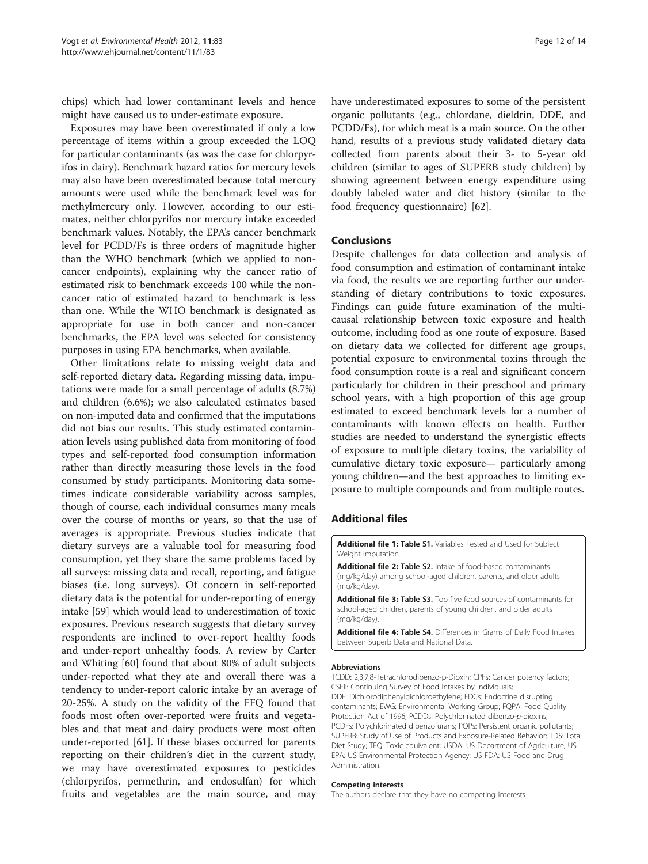<span id="page-11-0"></span>chips) which had lower contaminant levels and hence might have caused us to under-estimate exposure.

Exposures may have been overestimated if only a low percentage of items within a group exceeded the LOQ for particular contaminants (as was the case for chlorpyrifos in dairy). Benchmark hazard ratios for mercury levels may also have been overestimated because total mercury amounts were used while the benchmark level was for methylmercury only. However, according to our estimates, neither chlorpyrifos nor mercury intake exceeded benchmark values. Notably, the EPA's cancer benchmark level for PCDD/Fs is three orders of magnitude higher than the WHO benchmark (which we applied to noncancer endpoints), explaining why the cancer ratio of estimated risk to benchmark exceeds 100 while the noncancer ratio of estimated hazard to benchmark is less than one. While the WHO benchmark is designated as appropriate for use in both cancer and non-cancer benchmarks, the EPA level was selected for consistency purposes in using EPA benchmarks, when available.

Other limitations relate to missing weight data and self-reported dietary data. Regarding missing data, imputations were made for a small percentage of adults (8.7%) and children (6.6%); we also calculated estimates based on non-imputed data and confirmed that the imputations did not bias our results. This study estimated contamination levels using published data from monitoring of food types and self-reported food consumption information rather than directly measuring those levels in the food consumed by study participants. Monitoring data sometimes indicate considerable variability across samples, though of course, each individual consumes many meals over the course of months or years, so that the use of averages is appropriate. Previous studies indicate that dietary surveys are a valuable tool for measuring food consumption, yet they share the same problems faced by all surveys: missing data and recall, reporting, and fatigue biases (i.e. long surveys). Of concern in self-reported dietary data is the potential for under-reporting of energy intake [[59\]](#page-13-0) which would lead to underestimation of toxic exposures. Previous research suggests that dietary survey respondents are inclined to over-report healthy foods and under-report unhealthy foods. A review by Carter and Whiting [[60\]](#page-13-0) found that about 80% of adult subjects under-reported what they ate and overall there was a tendency to under-report caloric intake by an average of 20-25%. A study on the validity of the FFQ found that foods most often over-reported were fruits and vegetables and that meat and dairy products were most often under-reported [[61](#page-13-0)]. If these biases occurred for parents reporting on their children's diet in the current study, we may have overestimated exposures to pesticides (chlorpyrifos, permethrin, and endosulfan) for which fruits and vegetables are the main source, and may

have underestimated exposures to some of the persistent organic pollutants (e.g., chlordane, dieldrin, DDE, and PCDD/Fs), for which meat is a main source. On the other hand, results of a previous study validated dietary data collected from parents about their 3- to 5-year old children (similar to ages of SUPERB study children) by showing agreement between energy expenditure using doubly labeled water and diet history (similar to the food frequency questionnaire) [[62](#page-13-0)].

# **Conclusions**

Despite challenges for data collection and analysis of food consumption and estimation of contaminant intake via food, the results we are reporting further our understanding of dietary contributions to toxic exposures. Findings can guide future examination of the multicausal relationship between toxic exposure and health outcome, including food as one route of exposure. Based on dietary data we collected for different age groups, potential exposure to environmental toxins through the food consumption route is a real and significant concern particularly for children in their preschool and primary school years, with a high proportion of this age group estimated to exceed benchmark levels for a number of contaminants with known effects on health. Further studies are needed to understand the synergistic effects of exposure to multiple dietary toxins, the variability of cumulative dietary toxic exposure— particularly among young children—and the best approaches to limiting exposure to multiple compounds and from multiple routes.

# Additional files

[Additional file 1:](http://www.biomedcentral.com/content/supplementary/1476-069X-11-83-S1.docx) Table S1. Variables Tested and Used for Subject Weight Imputation.

[Additional file 2:](http://www.biomedcentral.com/content/supplementary/1476-069X-11-83-S2.doc) Table S2. Intake of food-based contaminants (mg/kg/day) among school-aged children, parents, and older adults (mg/kg/day).

[Additional file 3:](http://www.biomedcentral.com/content/supplementary/1476-069X-11-83-S3.doc) Table S3. Top five food sources of contaminants for school-aged children, parents of young children, and older adults (mg/kg/day).

[Additional file 4:](http://www.biomedcentral.com/content/supplementary/1476-069X-11-83-S4.docx) Table S4. Differences in Grams of Daily Food Intakes between Superb Data and National Data.

#### Abbreviations

TCDD: 2,3,7,8-Tetrachlorodibenzo-p-Dioxin; CPFs: Cancer potency factors; CSFII: Continuing Survey of Food Intakes by Individuals; DDE: Dichlorodiphenyldichloroethylene; EDCs: Endocrine disrupting contaminants; EWG: Environmental Working Group; FQPA: Food Quality Protection Act of 1996; PCDDs: Polychlorinated dibenzo-p-dioxins; PCDFs: Polychlorinated dibenzofurans; POPs: Persistent organic pollutants; SUPERB: Study of Use of Products and Exposure-Related Behavior; TDS: Total Diet Study; TEQ: Toxic equivalent; USDA: US Department of Agriculture; US EPA: US Environmental Protection Agency; US FDA: US Food and Drug Administration.

#### Competing interests

The authors declare that they have no competing interests.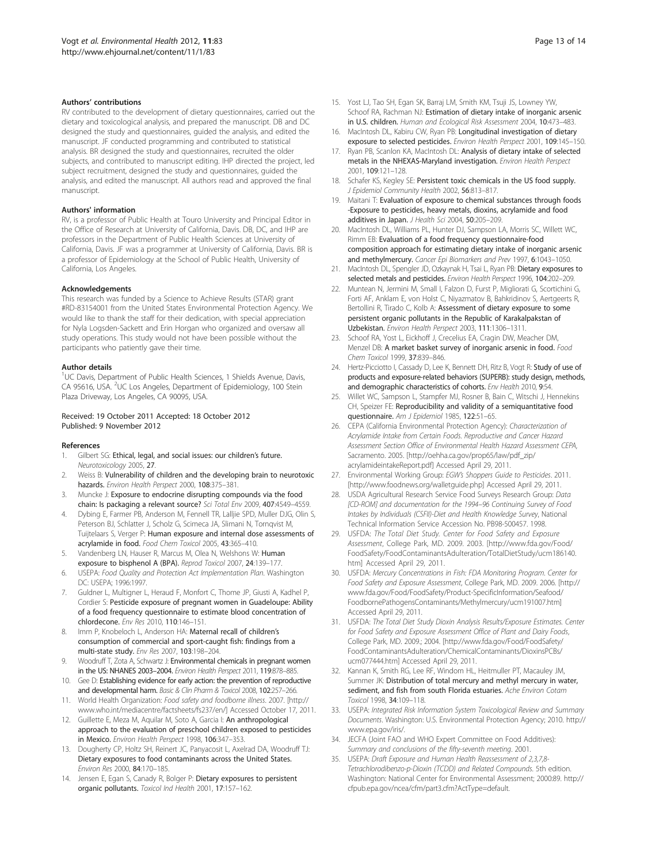#### <span id="page-12-0"></span>Authors' contributions

RV contributed to the development of dietary questionnaires, carried out the dietary and toxicological analysis, and prepared the manuscript. DB and DC designed the study and questionnaires, guided the analysis, and edited the manuscript. JF conducted programming and contributed to statistical analysis. BR designed the study and questionnaires, recruited the older subjects, and contributed to manuscript editing. IHP directed the project, led subject recruitment, designed the study and questionnaires, guided the analysis, and edited the manuscript. All authors read and approved the final manuscript.

#### Authors' information

RV, is a professor of Public Health at Touro University and Principal Editor in the Office of Research at University of California, Davis. DB, DC, and IHP are professors in the Department of Public Health Sciences at University of California, Davis. JF was a programmer at University of California, Davis. BR is a professor of Epidemiology at the School of Public Health, University of California, Los Angeles.

#### Acknowledgements

This research was funded by a Science to Achieve Results (STAR) grant #RD-83154001 from the United States Environmental Protection Agency. We would like to thank the staff for their dedication, with special appreciation for Nyla Logsden-Sackett and Erin Horgan who organized and oversaw all study operations. This study would not have been possible without the participants who patiently gave their time.

#### Author details

<sup>1</sup>UC Davis, Department of Public Health Sciences, 1 Shields Avenue, Davis, CA 95616, USA. <sup>2</sup>UC Los Angeles, Department of Epidemiology, 100 Stein Plaza Driveway, Los Angeles, CA 90095, USA.

#### Received: 19 October 2011 Accepted: 18 October 2012 Published: 9 November 2012

#### References

- 1. Gilbert SG: Ethical, legal, and social issues: our children's future. Neurotoxicology 2005, 27.
- 2. Weiss B: Vulnerability of children and the developing brain to neurotoxic hazards. Environ Health Perspect 2000, 108:375–381.
- 3. Muncke J: Exposure to endocrine disrupting compounds via the food chain: Is packaging a relevant source? Sci Total Env 2009, 407:4549–4559.
- 4. Dybing E, Farmer PB, Anderson M, Fennell TR, Lalljie SPD, Muller DJG, Olin S, Peterson BJ, Schlatter J, Scholz G, Scimeca JA, Slimani N, Tornqvist M, Tuijtelaars S, Verger P: Human exposure and internal dose assessments of acrylamide in food. Food Chem Toxicol 2005, 43:365–410.
- 5. Vandenberg LN, Hauser R, Marcus M, Olea N, Welshons W: Human exposure to bisphenol A (BPA). Reprod Toxicol 2007, 24:139–177.
- 6. USEPA: Food Quality and Protection Act Implementation Plan. Washington DC: USEPA; 1996:1997.
- 7. Guldner L, Multigner L, Heraud F, Monfort C, Thome JP, Giusti A, Kadhel P, Cordier S: Pesticide exposure of pregnant women in Guadeloupe: Ability of a food frequency questionnaire to estimate blood concentration of chlordecone. Env Res 2010, 110:146–151.
- 8. Imm P, Knobeloch L, Anderson HA: Maternal recall of children's consumption of commercial and sport-caught fish: findings from a multi-state study. Env Res 2007, 103:198–204.
- Woodruff T, Zota A, Schwartz J: Environmental chemicals in pregnant women in the US: NHANES 2003–2004. Environ Health Perspect 2011, 119:878–885.
- 10. Gee D: Establishing evidence for early action: the prevention of reproductive and developmental harm. Basic & Clin Pharm & Toxicol 2008, 102:257-266.
- 11. World Health Organization: Food safety and foodborne illness. 2007. [[http://](http://www.who.int/mediacentre/factsheets/fs237/en/) [www.who.int/mediacentre/factsheets/fs237/en/\]](http://www.who.int/mediacentre/factsheets/fs237/en/) Accessed October 17, 2011.
- 12. Guillette E, Meza M, Aquilar M, Soto A, Garcia I: An anthropological approach to the evaluation of preschool children exposed to pesticides in Mexico. Environ Health Perspect 1998, 106:347–353.
- 13. Dougherty CP, Holtz SH, Reinert JC, Panyacosit L, Axelrad DA, Woodruff TJ: Dietary exposures to food contaminants across the United States. Environ Res 2000, 84:170–185.
- 14. Jensen E, Egan S, Canady R, Bolger P: Dietary exposures to persistent organic pollutants. Toxicol Ind Health 2001, 17:157–162.
- 15. Yost LJ, Tao SH, Egan SK, Barraj LM, Smith KM, Tsuji JS, Lowney YW, Schoof RA, Rachman NJ: Estimation of dietary intake of inorganic arsenic in U.S. children. Human and Ecological Risk Assessment 2004, 10:473–483.
- 16. MacIntosh DL, Kabiru CW, Ryan PB: Longitudinal investigation of dietary exposure to selected pesticides. Environ Health Perspect 2001, 109:145–150.
- 17. Ryan PB, Scanlon KA, MacIntosh DL: Analysis of dietary intake of selected metals in the NHEXAS-Maryland investigation. Environ Health Perspect 2001, 109:121–128.
- 18. Schafer KS, Kegley SE: Persistent toxic chemicals in the US food supply. J Epidemiol Community Health 2002, 56:813–817.
- 19. Maitani T: Evaluation of exposure to chemical substances through foods -Exposure to pesticides, heavy metals, dioxins, acrylamide and food additives in Japan. J Health Sci 2004, 50:205-209.
- 20. MacIntosh DL, Williams PL, Hunter DJ, Sampson LA, Morris SC, Willett WC, Rimm EB: Evaluation of a food frequency questionnaire-food composition approach for estimating dietary intake of inorganic arsenic and methylmercury. Cancer Epi Biomarkers and Prev 1997, 6:1043-1050.
- 21. MacIntosh DL, Spengler JD, Ozkaynak H, Tsai L, Ryan PB: Dietary exposures to selected metals and pesticides. Environ Health Perspect 1996, 104:202–209.
- 22. Muntean N, Jermini M, Small I, Falzon D, Furst P, Migliorati G, Scortichini G, Forti AF, Anklam E, von Holst C, Niyazmatov B, Bahkridinov S, Aertgeerts R, Bertollini R, Tirado C, Kolb A: Assessment of dietary exposure to some persistent organic pollutants in the Republic of Karakalpakstan of Uzbekistan. Environ Health Perspect 2003, 111:1306–1311.
- 23. Schoof RA, Yost L, Eickhoff J, Crecelius EA, Cragin DW, Meacher DM, Menzel DB: A market basket survey of inorganic arsenic in food. Food Chem Toxicol 1999, 37:839–846.
- 24. Hertz-Picciotto I, Cassady D, Lee K, Bennett DH, Ritz B, Vogt R: Study of use of products and exposure-related behaviors (SUPERB): study design, methods, and demographic characteristics of cohorts. Env Health 2010, 9:54.
- 25. Willet WC, Sampson L, Stampfer MJ, Rosner B, Bain C, Witschi J, Hennekins CH, Speizer FE: Reproducibility and validity of a semiquantitative food questionnaire. Am J Epidemiol 1985, 122:51–65.
- 26. CEPA (California Environmental Protection Agency): Characterization of Acrylamide Intake from Certain Foods. Reproductive and Cancer Hazard Assessment Section Office of Environmental Health Hazard Assessment CEPA, Sacramento. 2005. [[http://oehha.ca.gov/prop65/law/pdf\\_zip/](http://oehha.ca.gov/prop65/law/pdf_zip/acrylamideintakeReport.pdf) [acrylamideintakeReport.pdf\]](http://oehha.ca.gov/prop65/law/pdf_zip/acrylamideintakeReport.pdf) Accessed April 29, 2011.
- 27. Environmental Working Group: EGW's Shoppers Guide to Pesticides. 2011. [[http://www.foodnews.org/walletguide.php\]](http://www.foodnews.org/walletguide.php) Accessed April 29, 2011.
- 28. USDA Agricultural Research Service Food Surveys Research Group: Data [CD-ROM] and documentation for the 1994–96 Continuing Survey of Food Intakes by Individuals (CSFII)-Diet and Health Knowledge Survey, National Technical Information Service Accession No. PB98-500457. 1998.
- 29. USFDA: The Total Diet Study. Center for Food Safety and Exposure Assessment, College Park, MD. 2009. 2003. [\[http://www.fda.gov/Food/](http://www.fda.gov/Food/FoodSafety/FoodContaminantsAdulteration/TotalDietStudy/ucm186140.htm) [FoodSafety/FoodContaminantsAdulteration/TotalDietStudy/ucm186140.](http://www.fda.gov/Food/FoodSafety/FoodContaminantsAdulteration/TotalDietStudy/ucm186140.htm) [htm\]](http://www.fda.gov/Food/FoodSafety/FoodContaminantsAdulteration/TotalDietStudy/ucm186140.htm) Accessed April 29, 2011.
- 30. USFDA: Mercury Concentrations in Fish: FDA Monitoring Program. Center for Food Safety and Exposure Assessment, College Park, MD. 2009. 2006. [\[http://](http://www.fda.gov/Food/FoodSafety/Product-SpecificInformation/Seafood/FoodbornePathogensContaminants/Methylmercury/ucm191007.htm) [www.fda.gov/Food/FoodSafety/Product-SpecificInformation/Seafood/](http://www.fda.gov/Food/FoodSafety/Product-SpecificInformation/Seafood/FoodbornePathogensContaminants/Methylmercury/ucm191007.htm) [FoodbornePathogensContaminants/Methylmercury/ucm191007.htm\]](http://www.fda.gov/Food/FoodSafety/Product-SpecificInformation/Seafood/FoodbornePathogensContaminants/Methylmercury/ucm191007.htm) Accessed April 29, 2011.
- 31. USFDA: The Total Diet Study Dioxin Analysis Results/Exposure Estimates. Center for Food Safety and Exposure Assessment Office of Plant and Dairy Foods, College Park, MD. 2009.; 2004. [[http://www.fda.gov/Food/FoodSafety/](http://www.fda.gov/Food/FoodSafety/FoodContaminantsAdulteration/ChemicalContaminants/DioxinsPCBs/ucm077444.htm) [FoodContaminantsAdulteration/ChemicalContaminants/DioxinsPCBs/](http://www.fda.gov/Food/FoodSafety/FoodContaminantsAdulteration/ChemicalContaminants/DioxinsPCBs/ucm077444.htm) [ucm077444.htm\]](http://www.fda.gov/Food/FoodSafety/FoodContaminantsAdulteration/ChemicalContaminants/DioxinsPCBs/ucm077444.htm) Accessed April 29, 2011.
- 32. Kannan K, Smith RG, Lee RF, Windom HL, Heitmuller PT, Macauley JM, Summer JK: Distribution of total mercury and methyl mercury in water, sediment, and fish from south Florida estuaries. Ache Environ Cotam Toxicol 1998, 34:109–118.
- 33. USEPA: Integrated Risk Information System Toxicological Review and Summary Documents. Washington: U.S. Environmental Protection Agency; 2010. [http://](http://www.epa.gov/iris/) [www.epa.gov/iris/](http://www.epa.gov/iris/).
- 34. JECFA (Joint FAO and WHO Expert Committee on Food Additives): Summary and conclusions of the fifty-seventh meeting. 2001.
- 35. USEPA: Draft Exposure and Human Health Reassessment of 2,3,7,8- Tetrachlorodibenzo-p-Dioxin (TCDD) and Related Compounds. 5th edition. Washington: National Center for Environmental Assessment; 2000:89. [http://](http://cfpub.epa.gov/ncea/cfm/part3.cfm?ActType=default) [cfpub.epa.gov/ncea/cfm/part3.cfm?ActType=default.](http://cfpub.epa.gov/ncea/cfm/part3.cfm?ActType=default)